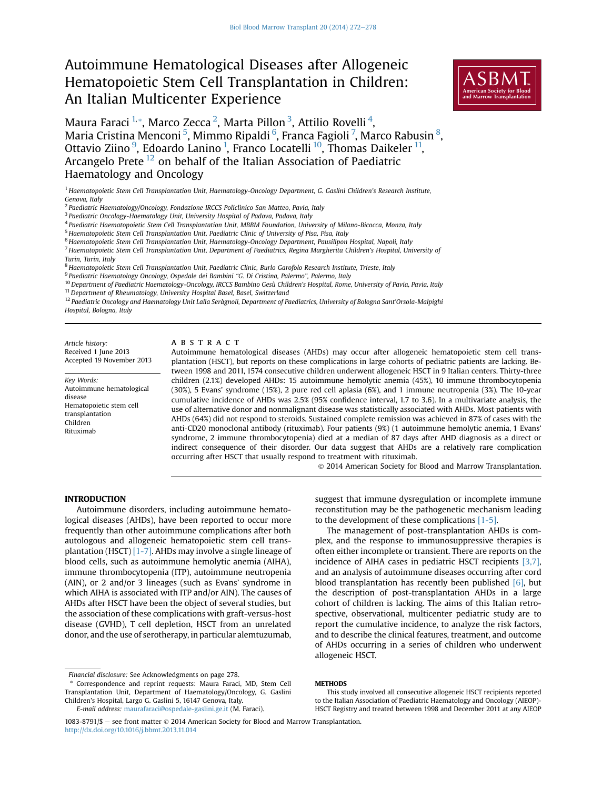# Autoimmune Hematological Diseases after Allogeneic Hematopoietic Stem Cell Transplantation in Children: An Italian Multicenter Experience



Maura Faraci  $^{1,\ast}$ , Marco Zecca  $^{2}$ , Marta Pillon  $^{3}$ , Attilio Rovelli  $^{4}$ , Maria Cristina Menconi  $^5$ , Mimmo Ripaldi  $^6$ , Franca Fagioli  $^7$ , Marco Rabusin  $^8$ , Ottavio Ziino <sup>9</sup>, Edoardo Lanino <sup>1</sup>, Franco Locatelli <sup>10</sup>, Thomas Daikeler <sup>11</sup>, Arcangelo Prete <sup>12</sup> on behalf of the Italian Association of Paediatric Haematology and Oncology

<sup>1</sup> Haematopoietic Stem Cell Transplantation Unit, Haematology-Oncology Department, G. Gaslini Children's Research Institute, Genova, Italy

<sup>3</sup> Paediatric Oncology-Haematology Unit, University Hospital of Padova, Padova, Italy

- <sup>5</sup> Haematopoietic Stem Cell Transplantation Unit, Paediatric Clinic of University of Pisa, Pisa, Italy
- <sup>6</sup> Haematopoietic Stem Cell Transplantation Unit, Haematology-Oncology Department, Pausilipon Hospital, Napoli, Italy

<sup>7</sup> Haematopoietic Stem Cell Transplantation Unit, Department of Paediatrics, Regina Margherita Children's Hospital, University of Turin, Turin, Italy

<sup>8</sup> Haematopoietic Stem Cell Transplantation Unit, Paediatric Clinic, Burlo Garofolo Research Institute, Trieste, Italy

<sup>9</sup> Paediatric Haematology Oncology, Ospedale dei Bambini "G. Di Cristina, Palermo", Palermo, Italy

<sup>10</sup> Department of Paediatric Haematology-Oncology, IRCCS Bambino Gesù Children's Hospital, Rome, University of Pavia, Pavia, Italy

 $11$  Department of Rheumatology, University Hospital Basel, Basel, Switzerland

<sup>12</sup> Paediatric Oncology and Haematology Unit Lalla Seràgnoli, Department of Paediatrics, University of Bologna Sant'Orsola-Malpighi Hospital, Bologna, Italy

Article history: Received 1 June 2013 Accepted 19 November 2013

Key Words: Autoimmune hematological disease Hematopoietic stem cell transplantation Children Rituximab

### **ABSTRACT**

Autoimmune hematological diseases (AHDs) may occur after allogeneic hematopoietic stem cell transplantation (HSCT), but reports on these complications in large cohorts of pediatric patients are lacking. Between 1998 and 2011, 1574 consecutive children underwent allogeneic HSCT in 9 Italian centers. Thirty-three children (2.1%) developed AHDs: 15 autoimmune hemolytic anemia (45%), 10 immune thrombocytopenia (30%), 5 Evans' syndrome (15%), 2 pure red cell aplasia (6%), and 1 immune neutropenia (3%). The 10-year cumulative incidence of AHDs was 2.5% (95% confidence interval, 1.7 to 3.6). In a multivariate analysis, the use of alternative donor and nonmalignant disease was statistically associated with AHDs. Most patients with AHDs (64%) did not respond to steroids. Sustained complete remission was achieved in 87% of cases with the anti-CD20 monoclonal antibody (rituximab). Four patients (9%) (1 autoimmune hemolytic anemia, 1 Evans' syndrome, 2 immune thrombocytopenia) died at a median of 87 days after AHD diagnosis as a direct or indirect consequence of their disorder. Our data suggest that AHDs are a relatively rare complication occurring after HSCT that usually respond to treatment with rituximab.

2014 American Society for Blood and Marrow Transplantation.

Autoimmune disorders, including autoimmune hematological diseases (AHDs), have been reported to occur more frequently than other autoimmune complications after both autologous and allogeneic hematopoietic stem cell transplantation (HSCT) [\[1-7\]](#page-6-0). AHDs may involve a single lineage of blood cells, such as autoimmune hemolytic anemia (AIHA), immune thrombocytopenia (ITP), autoimmune neutropenia (AIN), or 2 and/or 3 lineages (such as Evans' syndrome in which AIHA is associated with ITP and/or AIN). The causes of AHDs after HSCT have been the object of several studies, but the association of these complications with graft-versus-host disease (GVHD), T cell depletion, HSCT from an unrelated donor, and the use of serotherapy, in particular alemtuzumab,

suggest that immune dysregulation or incomplete immune reconstitution may be the pathogenetic mechanism leading to the development of these complications [\[1-5\]](#page-6-0).

The management of post-transplantation AHDs is complex, and the response to immunosuppressive therapies is often either incomplete or transient. There are reports on the incidence of AIHA cases in pediatric HSCT recipients  $[3,7]$ , and an analysis of autoimmune diseases occurring after cord blood transplantation has recently been published  $[6]$ , but the description of post-transplantation AHDs in a large cohort of children is lacking. The aims of this Italian retrospective, observational, multicenter pediatric study are to report the cumulative incidence, to analyze the risk factors, and to describe the clinical features, treatment, and outcome of AHDs occurring in a series of children who underwent allogeneic HSCT.

This study involved all consecutive allogeneic HSCT recipients reported to the Italian Association of Paediatric Haematology and Oncology (AIEOP)- HSCT Registry and treated between 1998 and December 2011 at any AIEOP

<sup>&</sup>lt;sup>2</sup> Paediatric Haematology/Oncology, Fondazione IRCCS Policlinico San Matteo, Pavia, Italy

<sup>4</sup> Paediatric Haematopoietic Stem Cell Transplantation Unit, MBBM Foundation, University of Milano-Bicocca, Monza, Italy

Financial disclosure: See Acknowledgments on page 278.

Correspondence and reprint requests: Maura Faraci, MD, Stem Cell Transplantation Unit, Department of Haematology/Oncology, G. Gaslini Children's Hospital, Largo G. Gaslini 5, 16147 Genova, Italy. E-mail address: [maurafaraci@ospedale-gaslini.ge.it](mailto:maurafaraci@ospedale-gaslini.ge.it) (M. Faraci).

 $1083-8791/\$ \$ – see front matter  $\odot$  2014 American Society for Blood and Marrow Transplantation. <http://dx.doi.org/10.1016/j.bbmt.2013.11.014>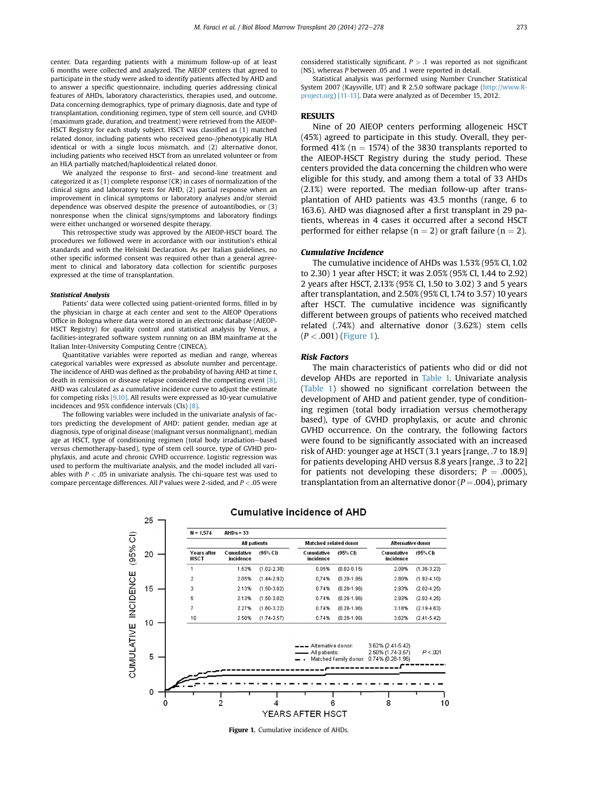center. Data regarding patients with a minimum follow-up of at least 6 months were collected and analyzed. The AIEOP centers that agreed to participate in the study were asked to identify patients affected by AHD and to answer a specific questionnaire, including queries addressing clinical features of AHDs, laboratory characteristics, therapies used, and outcome. Data concerning demographics, type of primary diagnosis, date and type of transplantation, conditioning regimen, type of stem cell source, and GVHD (maximum grade, duration, and treatment) were retrieved from the AIEOP-HSCT Registry for each study subject. HSCT was classified as (1) matched related donor, including patients who received geno-/phenotypically HLA identical or with a single locus mismatch, and (2) alternative donor, including patients who received HSCT from an unrelated volunteer or from an HLA partially matched/haploidentical related donor.

We analyzed the response to first- and second-line treatment and categorized it as (1) complete response (CR) in cases of normalization of the clinical signs and laboratory tests for AHD, (2) partial response when an improvement in clinical symptoms or laboratory analyses and/or steroid dependence was observed despite the presence of autoantibodies, or (3) nonresponse when the clinical signs/symptoms and laboratory findings were either unchanged or worsened despite therapy.

This retrospective study was approved by the AIEOP-HSCT board. The procedures we followed were in accordance with our institution's ethical standards and with the Helsinki Declaration. As per Italian guidelines, no other specific informed consent was required other than a general agreement to clinical and laboratory data collection for scientific purposes expressed at the time of transplantation.

### Statistical Analysis

Patients' data were collected using patient-oriented forms, filled in by the physician in charge at each center and sent to the AIEOP Operations Office in Bologna where data were stored in an electronic database (AIEOP-HSCT Registry) for quality control and statistical analysis by Venus, a facilities-integrated software system running on an IBM mainframe at the Italian Inter-University Computing Centre (CINECA).

Quantitative variables were reported as median and range, whereas categorical variables were expressed as absolute number and percentage. The incidence of AHD was defined as the probability of having AHD at time t, death in remission or disease relapse considered the competing event [\[8\]](#page-6-0). AHD was calculated as a cumulative incidence curve to adjust the estimate for competing risks [\[9,10\].](#page-6-0) All results were expressed as 10-year cumulative incidences and 95% confidence intervals (CIs) [\[8\].](#page-6-0)

The following variables were included in the univariate analysis of factors predicting the development of AHD: patient gender, median age at diagnosis, type of original disease (malignant versus nonmalignant), median age at HSCT, type of conditioning regimen (total body irradiation-based versus chemotherapy-based), type of stem cell source, type of GVHD prophylaxis, and acute and chronic GVHD occurrence. Logistic regression was used to perform the multivariate analysis, and the model included all variables with  $P < .05$  in univariate analysis. The chi-square test was used to compare percentage differences. All P values were 2-sided, and  $P < .05$  were

considered statistically significant.  $P > .1$  was reported as not significant (NS), whereas P between .05 and .1 were reported in detail.

Statistical analysis was performed using Number Cruncher Statistical System 2007 (Kaysville, UT) and R 2.5.0 software package ([http://www.R](http://www.R-project.org)[project.org\)](http://www.R-project.org) [\[11-13\].](#page-6-0) Data were analyzed as of December 15, 2012.

Nine of 20 AIEOP centers performing allogeneic HSCT (45%) agreed to participate in this study. Overall, they performed 41% ( $n = 1574$ ) of the 3830 transplants reported to the AIEOP-HSCT Registry during the study period. These centers provided the data concerning the children who were eligible for this study, and among them a total of 33 AHDs (2.1%) were reported. The median follow-up after transplantation of AHD patients was 43.5 months (range, 6 to 163.6). AHD was diagnosed after a first transplant in 29 patients, whereas in 4 cases it occurred after a second HSCT performed for either relapse ( $n = 2$ ) or graft failure ( $n = 2$ ).

### Cumulative Incidence

The cumulative incidence of AHDs was 1.53% (95% CI, 1.02 to 2.30) 1 year after HSCT; it was 2.05% (95% CI, 1.44 to 2.92) 2 years after HSCT, 2.13% (95% CI, 1.50 to 3.02) 3 and 5 years after transplantation, and 2.50% (95% CI, 1.74 to 3.57) 10 years after HSCT. The cumulative incidence was significantly different between groups of patients who received matched related (.74%) and alternative donor (3.62%) stem cells  $(P < .001)$  (Figure 1).

### Risk Factors

The main characteristics of patients who did or did not develop AHDs are reported in [Table 1.](#page-2-0) Univariate analysis ([Table 1](#page-2-0)) showed no significant correlation between the development of AHD and patient gender, type of conditioning regimen (total body irradiation versus chemotherapy based), type of GVHD prophylaxis, or acute and chronic GVHD occurrence. On the contrary, the following factors were found to be significantly associated with an increased risk of AHD: younger age at HSCT (3.1 years [range, .7 to 18.9] for patients developing AHD versus 8.8 years [range, .3 to 22] for patients not developing these disorders;  $P = .0005$ ), transplantation from an alternative donor ( $P = .004$ ), primary



### **Cumulative incidence of AHD**

Figure 1. Cumulative incidence of AHDs.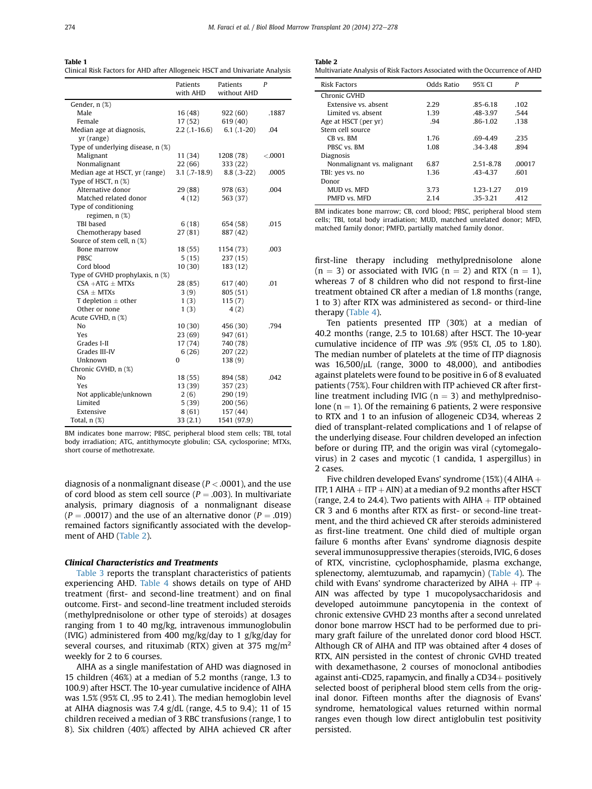<span id="page-2-0"></span>Table 1 ------ -<br>Clinical Risk Factors for AHD after Allogeneic HSCT and Univariate Analysis

|                                   | Patients<br>with AHD | Patients<br>without AHD | P       |
|-----------------------------------|----------------------|-------------------------|---------|
| Gender, n (%)                     |                      |                         |         |
| Male                              | 16(48)               | 922 (60)                | .1887   |
| Female                            | 17(52)               | 619 (40)                |         |
| Median age at diagnosis,          | $2.2$ (.1-16.6)      | $6.1(.1-20)$            | .04     |
| yr (range)                        |                      |                         |         |
| Type of underlying disease, n (%) |                      |                         |         |
| Malignant                         | 11 (34)              | 1208 (78)               | < .0001 |
| Nonmalignant                      | 22(66)               | 333 (22)                |         |
| Median age at HSCT, yr (range)    | $3.1(.7-18.9)$       | $8.8(.3-22)$            | .0005   |
| Type of HSCT, n (%)               |                      |                         |         |
| Alternative donor                 | 29 (88)              | 978 (63)                | .004    |
| Matched related donor             | 4(12)                | 563 (37)                |         |
| Type of conditioning              |                      |                         |         |
| regimen, n (%)                    |                      |                         |         |
| <b>TBI</b> based                  | 6(18)                | 654 (58)                | .015    |
| Chemotherapy based                | 27(81)               | 887 (42)                |         |
| Source of stem cell, n (%)        |                      |                         |         |
| Bone marrow                       | 18 (55)              | 1154 (73)               | .003    |
| PBSC                              | 5(15)                | 237 (15)                |         |
| Cord blood                        | 10(30)               | 183 (12)                |         |
| Type of GVHD prophylaxis, n (%)   |                      |                         |         |
| $CSA + ATG \pm MTXs$              | 28 (85)              | 617 (40)                | .01     |
| $CSA \pm MTXs$                    | 3(9)                 | 805 (51)                |         |
| T depletion $\pm$ other           | 1(3)                 | 115(7)                  |         |
| Other or none                     | 1(3)                 | 4(2)                    |         |
| Acute GVHD, n (%)                 |                      |                         |         |
| No                                | 10(30)               | 456 (30)                | .794    |
| Yes                               | 23(69)               | 947 (61)                |         |
| Grades I-II                       | 17(74)               | 740 (78)                |         |
| Grades III-IV                     | 6(26)                | 207(22)                 |         |
| Unknown                           | 0                    | 138 (9)                 |         |
| Chronic GVHD, n (%)               |                      |                         |         |
| No                                | 18 (55)              | 894 (58)                | .042    |
| Yes                               | 13 (39)              | 357 (23)                |         |
| Not applicable/unknown            | 2(6)                 | 290 (19)                |         |
| Limited                           | 5(39)                | 200(56)                 |         |
| Extensive                         | 8(61)                | 157 (44)                |         |
| Total, $n$ $(\%)$                 | 33(2.1)              | 1541 (97.9)             |         |

BM indicates bone marrow; PBSC, peripheral blood stem cells; TBI, total body irradiation; ATG, antithymocyte globulin; CSA, cyclosporine; MTXs, short course of methotrexate.

diagnosis of a nonmalignant disease ( $P < .0001$ ), and the use of cord blood as stem cell source ( $P = .003$ ). In multivariate analysis, primary diagnosis of a nonmalignant disease  $(P = .00017)$  and the use of an alternative donor  $(P = .019)$ remained factors significantly associated with the development of AHD (Table 2).

### Clinical Characteristics and Treatments

[Table 3](#page-3-0) reports the transplant characteristics of patients experiencing AHD. [Table 4](#page-4-0) shows details on type of AHD treatment (first- and second-line treatment) and on final outcome. First- and second-line treatment included steroids (methylprednisolone or other type of steroids) at dosages ranging from 1 to 40 mg/kg, intravenous immunoglobulin (IVIG) administered from 400 mg/kg/day to 1 g/kg/day for several courses, and rituximab (RTX) given at 375 mg/m<sup>2</sup> weekly for 2 to 6 courses.

AIHA as a single manifestation of AHD was diagnosed in 15 children (46%) at a median of 5.2 months (range, 1.3 to 100.9) after HSCT. The 10-year cumulative incidence of AIHA was 1.5% (95% CI, .95 to 2.41). The median hemoglobin level at AIHA diagnosis was 7.4 g/dL (range, 4.5 to 9.4); 11 of 15 children received a median of 3 RBC transfusions (range, 1 to 8). Six children (40%) affected by AIHA achieved CR after

| . .<br>×<br>. .<br>٧ |  |
|----------------------|--|
|----------------------|--|

------ -<br>Multivariate Analysis of Risk Factors Associated with the Occurrence of AHD

| <b>Risk Factors</b>        | Odds Ratio | 95% CI       | P      |
|----------------------------|------------|--------------|--------|
| Chronic GVHD               |            |              |        |
| Extensive vs. absent       | 2.29       | $.85 - 6.18$ | .102   |
| Limited vs. absent         | 1.39       | .48-3.97     | .544   |
| Age at HSCT (per yr)       | .94        | $.86 - 1.02$ | .138   |
| Stem cell source           |            |              |        |
| CB vs. BM                  | 1.76       | $.69 - 4.49$ | .235   |
| PBSC vs. BM                | 1.08       | $.34 - 3.48$ | .894   |
| Diagnosis                  |            |              |        |
| Nonmalignant vs. malignant | 6.87       | 2.51-8.78    | .00017 |
| TBI: yes vs. no            | 1.36       | $-43 - 437$  | .601   |
| Donor                      |            |              |        |
| MUD vs. MFD                | 3.73       | 1.23-1.27    | .019   |
| PMFD vs. MFD               | 2.14       | $-35 - 3.21$ | .412   |

BM indicates bone marrow; CB, cord blood; PBSC, peripheral blood stem cells; TBI, total body irradiation; MUD, matched unrelated donor; MFD, matched family donor; PMFD, partially matched family donor.

first-line therapy including methylprednisolone alone  $(n = 3)$  or associated with IVIG  $(n = 2)$  and RTX  $(n = 1)$ , whereas 7 of 8 children who did not respond to first-line treatment obtained CR after a median of 1.8 months (range, 1 to 3) after RTX was administered as second- or third-line therapy ([Table 4\)](#page-4-0).

Ten patients presented ITP (30%) at a median of 40.2 months (range, 2.5 to 101.68) after HSCT. The 10-year cumulative incidence of ITP was .9% (95% CI, .05 to 1.80). The median number of platelets at the time of ITP diagnosis was  $16,500/\mu$ L (range, 3000 to 48,000), and antibodies against platelets were found to be positive in 6 of 8 evaluated patients (75%). Four children with ITP achieved CR after firstline treatment including IVIG ( $n = 3$ ) and methylprednisolone ( $n = 1$ ). Of the remaining 6 patients, 2 were responsive to RTX and 1 to an infusion of allogeneic CD34, whereas 2 died of transplant-related complications and 1 of relapse of the underlying disease. Four children developed an infection before or during ITP, and the origin was viral (cytomegalovirus) in 2 cases and mycotic (1 candida, 1 aspergillus) in 2 cases.

Five children developed Evans' syndrome (15%) (4 AIHA  $+$ ITP, 1 AIHA  $+$  ITP  $+$  AIN) at a median of 9.2 months after HSCT (range, 2.4 to 24.4). Two patients with  $A I H A + I T P$  obtained CR 3 and 6 months after RTX as first- or second-line treatment, and the third achieved CR after steroids administered as first-line treatment. One child died of multiple organ failure 6 months after Evans' syndrome diagnosis despite several immunosuppressive therapies (steroids, IVIG, 6 doses of RTX, vincristine, cyclophosphamide, plasma exchange, splenectomy, alemtuzumab, and rapamycin) ([Table 4\)](#page-4-0). The child with Evans' syndrome characterized by AIHA  $+$  ITP  $+$ AIN was affected by type 1 mucopolysaccharidosis and developed autoimmune pancytopenia in the context of chronic extensive GVHD 23 months after a second unrelated donor bone marrow HSCT had to be performed due to primary graft failure of the unrelated donor cord blood HSCT. Although CR of AIHA and ITP was obtained after 4 doses of RTX, AIN persisted in the contest of chronic GVHD treated with dexamethasone, 2 courses of monoclonal antibodies against anti-CD25, rapamycin, and finally a  $CD34+$  positively selected boost of peripheral blood stem cells from the original donor. Fifteen months after the diagnosis of Evans' syndrome, hematological values returned within normal ranges even though low direct antiglobulin test positivity persisted.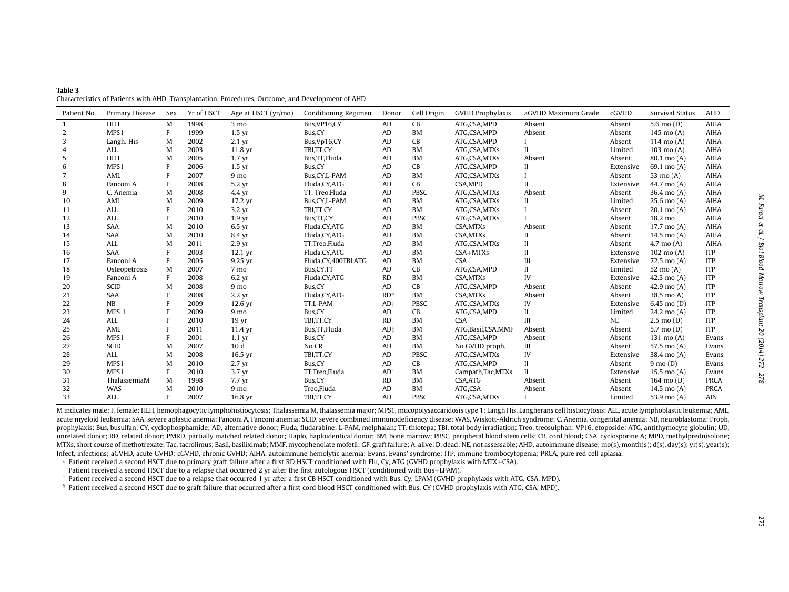<span id="page-3-0"></span>

| Table 3                                                                                            |  |  |  |
|----------------------------------------------------------------------------------------------------|--|--|--|
| Characteristics of Patients with AHD, Transplantation, Procedures, Outcome, and Development of AHD |  |  |  |

| Patient No.    | Primary Disease  | Sex | Yr of HSCT | Age at HSCT (yr/mo) | <b>Conditioning Regimen</b> | Donor     | Cell Origin | <b>GVHD Prophylaxis</b> | aGVHD Maximum Grade | cGVHD     | Survival Status       | <b>AHD</b>  |
|----------------|------------------|-----|------------|---------------------|-----------------------------|-----------|-------------|-------------------------|---------------------|-----------|-----------------------|-------------|
|                | <b>HLH</b>       | M   | 1998       | $3 \text{ mo}$      | Bus, VP16, CY               | AD        | CB          | ATG,CSA,MPD             | Absent              | Absent    | 5.6 mo $(D)$          | <b>AIHA</b> |
| 2              | MPS1             | F   | 1999       | $1.5 \text{ yr}$    | Bus, CY                     | AD        | <b>BM</b>   | ATG,CSA,MPD             | Absent              | Absent    | 145 mo (A)            | AIHA        |
| 3              | Langh. His       | M   | 2002       | $2.1 \text{ yr}$    | Bus, Vp16, CY               | AD        | CB          | ATG,CSA,MPD             |                     | Absent    | 114 mo $(A)$          | <b>AIHA</b> |
| $\overline{4}$ | ALL              | M   | 2003       | 11.8 yr             | TBI.TT.CY                   | AD        | <b>BM</b>   | ATG,CSA,MTXs            | H                   | Limited   | $103 \text{ mo} (A)$  | <b>AIHA</b> |
| 5              | <b>HLH</b>       | M   | 2005       | $1.7 \text{ yr}$    | Bus, TT, Fluda              | AD        | <b>BM</b>   | ATG,CSA,MTXs            | Absent              | Absent    | 80.1 mo (A)           | AIHA        |
| 6              | MPS1             | F   | 2006       | $1.5 \text{ yr}$    | Bus, CY                     | AD        | CB          | ATG,CSA,MPD             | Н                   | Extensive | 69.1 mo (A)           | AIHA        |
|                | AML              | F   | 2007       | 9 <sub>mo</sub>     | Bus, CY, L-PAM              | AD        | <b>BM</b>   | ATG,CSA,MTXs            |                     | Absent    | 53 mo $(A)$           | <b>AIHA</b> |
| 8              | Fanconi A        | F   | 2008       | 5.2 yr              | Fluda, CY, ATG              | AD        | <b>CB</b>   | CSA, MPD                | $\mathbf{H}$        | Extensive | 44.7 mo (A)           | <b>AIHA</b> |
| 9              | C. Anemia        | M   | 2008       | 4.4 yr              | TT. Treo.Fluda              | AD        | PBSC        | ATG,CSA,MTXs            | Absent              | Absent    | 36.4 mo $(A)$         | <b>AIHA</b> |
| 10             | AML              | M   | 2009       | 17.2 yr             | Bus, CY, L-PAM              | AD        | <b>BM</b>   | ATG,CSA,MTXs            | П                   | Limited   | $25.6$ mo $(A)$       | <b>AIHA</b> |
| 11             | ALL              |     | 2010       | $3.2 \text{ yr}$    | TBI,TT,CY                   | AD        | <b>BM</b>   | ATG,CSA,MTXs            |                     | Absent    | $20.1 \text{ mo} (A)$ | <b>AIHA</b> |
| 12             | <b>ALL</b>       | F   | 2010       | 1.9 <sub>yr</sub>   | Bus, TT, CY                 | AD        | PBSC        | ATG,CSA,MTXs            |                     | Absent    | 18.2 mo               | <b>AIHA</b> |
| 13             | <b>SAA</b>       | M   | 2010       | $6.5$ yr            | Fluda.CY.ATG                | AD        | <b>BM</b>   | <b>CSA.MTXs</b>         | Absent              | Absent    | 17.7 mo $(A)$         | <b>AIHA</b> |
| 14             | SAA              | M   | 2010       | 8.4 yr              | Fluda, CY, ATG              | AD        | <b>BM</b>   | CSA, MTXs               |                     | Absent    | 14.5 mo $(A)$         | <b>AIHA</b> |
| 15             | ALL              | M   | 2011       | 2.9 <sub>yr</sub>   | TT.Treo.Fluda               | AD        | <b>BM</b>   | ATG,CSA,MTXs            | $\mathbf{I}$        | Absent    | $4.7 \text{ mo} (A)$  | <b>AIHA</b> |
| 16             | <b>SAA</b>       | F   | 2003       | $12.1$ yr           | Fluda, CY, ATG              | AD        | <b>BM</b>   | $CSA+MTXs$              | $\mathbf{I}$        | Extensive | $102 \text{ mo} (A)$  | <b>ITP</b>  |
| 17             | Fanconi A        | F   | 2005       | 9.25 yr             | Fluda, CY, 400TBI, ATG      | AD        | <b>BM</b>   | <b>CSA</b>              | Ш                   | Extensive | 72.5 mo (A)           | <b>ITP</b>  |
| 18             | Osteopetrosis    | M   | 2007       | 7 mo                | Bus, CY, TT                 | AD        | CB          | ATG,CSA,MPD             | $\mathbf{I}$        | Limited   | 52 mo $(A)$           | <b>ITP</b>  |
| 19             | Fanconi A        | F   | 2008       | 6.2 yr              | Fluda, CY, ATG              | <b>RD</b> | <b>BM</b>   | CSA, MTXs               | IV                  | Extensive | 42.3 mo $(A)$         | <b>ITP</b>  |
| 20             | SCID             | M   | 2008       | 9 <sub>mo</sub>     | Bus, CY                     | AD        | CB          | ATG,CSA,MPD             | Absent              | Absent    | 42.9 mo $(A)$         | <b>ITP</b>  |
| 21             | <b>SAA</b>       | F   | 2008       | $2.2 \text{ yr}$    | Fluda, CY, ATG              | $RD*$     | <b>BM</b>   | <b>CSA.MTXs</b>         | Absent              | Absent    | 38.5 mo A)            | <b>ITP</b>  |
| 22             | NB               |     | 2009       | $12,6 \text{ yr}$   | TT,L-PAM                    | $AD+$     | <b>PBSC</b> | ATG,CSA,MTXs            | IV                  | Extensive | 6.45 mo $(D)$         | <b>ITP</b>  |
| 23             | MPS <sub>1</sub> |     | 2009       | 9 <sub>mo</sub>     | Bus, CY                     | AD        | CB          | ATG,CSA,MPD             | $\mathbf{I}$        | Limited   | $24.2 \text{ mo} (A)$ | <b>ITP</b>  |
| 24             | ALL              |     | 2010       | 19 <sub>yr</sub>    | TBI,TT,CY                   | RD        | <b>BM</b>   | <b>CSA</b>              | Ш                   | <b>NE</b> | $2.5 \text{ mo} (D)$  | <b>ITP</b>  |
| 25             | AML              |     | 2011       | 11.4 yr             | Bus, TT, Fluda              | $AD+$     | <b>BM</b>   | ATG, Basil, CSA, MMF    | Absent              | Absent    | 5.7 mo $(D)$          | <b>ITP</b>  |
| 26             | MPS1             |     | 2001       | $1.1 \text{ yr}$    | Bus, CY                     | AD        | <b>BM</b>   | ATG,CSA,MPD             | Absent              | Absent    | 131 mo $(A)$          | Evans       |
| 27             | SCID             | M   | 2007       | 10 <sub>d</sub>     | No CR                       | AD        | <b>BM</b>   | No GVHD proph.          | Ш                   | Absent    | 57.5 mo (A)           | Evans       |
| 28             | <b>ALL</b>       | M   | 2008       | 16.5 yr             | TBI,TT,CY                   | AD        | <b>PBSC</b> | ATG,CSA,MTXs            | IV                  | Extensive | 38.4 mo (A)           | Evans       |
| 29             | MPS1             | M   | 2010       | $2.7 \text{ yr}$    | Bus, CY                     | AD        | CB          | ATG,CSA,MPD             | $\mathbf{I}$        | Absent    | $9 \text{ mo} (D)$    | Evans       |
| 30             | MPS1             | F   | 2010       | 3.7 <sub>yr</sub>   | TT,Treo,Fluda               | AD        | <b>BM</b>   | Campath,Tac,MTXs        | $\mathbf{H}$        | Extensive | 15.5 mo $(A)$         | Evans       |
| 31             | ThalassemiaM     | M   | 1998       | 7.7 yr              | Bus, CY                     | <b>RD</b> | <b>BM</b>   | CSA, ATG                | Absent              | Absent    | 164 mo (D)            | <b>PRCA</b> |
| 32             | WAS              | M   | 2010       | 9 <sub>mo</sub>     | Treo,Fluda                  | AD        | <b>BM</b>   | ATG,CSA                 | Absent              | Absent    | 14.5 mo $(A)$         | <b>PRCA</b> |
| 33             | ALL              | F   | 2007       | 16.8 yr             | TBI,TT,CY                   | AD        | PBSC        | ATG,CSA,MTXs            |                     | Limited   | 53.9 mo (A)           | <b>AIN</b>  |

M indicates male; F, female; HLH, hemophagocytic lymphohistiocytosis; Thalassemia M, thalassemia major; MPS1, mucopolysaccaridosis type 1; Langh His, Langherans cell histiocytosis; ALL, acute lymphoblastic leukemia; AML, acute myeloid leukemia; SAA, severe aplastic anemia; Fanconi A, Fanconi anemia; SCID, severe combined immunodeficiency disease; WAS, Wiskott-Aldrich syndrome; C. Anemia, congenital anemia; NB, neuroblastoma; Proph, prophylaxis; Bus, busulfan; CY, cyclophosphamide; AD, alternative donor; Fluda, fludarabine; L-PAM, melphalan; TT, thiotepa; TBI, total body irradiation; Treo, treosulphan; VP16, etoposide; ATG, antithymocyte globulin; UD, unrelated donor; RD, related donor; PMRD, partially matched related donor; Haplo, haploidentical donor; BM, bone marrow; PBSC, peripheral blood stem cells; CB, cord blood; CSA, cyclosporine A; MPD, methylprednisolone; MTXs, short course of methotrexate; Tac, tacrolimus; Basil, basiliximab; MMF, mycophenolate mofetil; GF, graft failure; A, alive; D, dead; NE, not assessable; AHD, autoimmune disease; mo(s), month(s); d(s), day(s); yr(s), Infect, infections; aGVHD, acute GVHD; cGVHD, chronic GVHD; AIHA, autoimmune hemolytic anemia; Evans, Evans' syndrome; ITP, immune trombocytopenia; PRCA, pure red cell aplasia.

 $\,$  Patient received a second HSCT due to primary graft failure after a first RD HSCT conditioned with Flu, Cy, ATG (GVHD prophylaxis with MTX+CSA).

 $\dagger$  Patient received a second HSCT due to a relapse that occurred 2 yr after the first autologous HSCT (conditioned with Bus+LPAM).

 $\ddagger$  Patient received a second HSCT due to a relapse that occurred 1 yr after a first CB HSCT conditioned with Bus, Cy, LPAM (GVHD prophylaxis with ATG, CSA, MPD).

<sup>§</sup> Patient received a second HSCT due to graft failure that occurred after a first cord blood HSCT conditioned with Bus, CY (GVHD prophylaxis with ATG, CSA, MPD).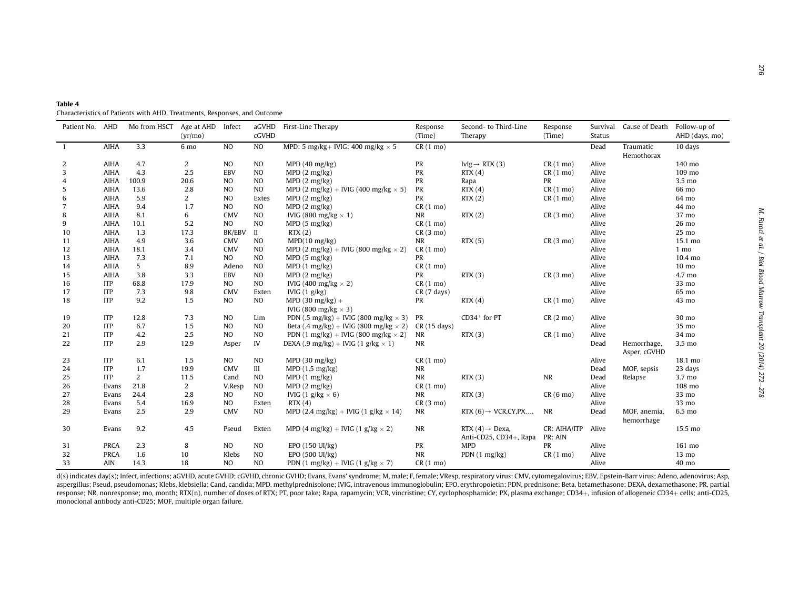<span id="page-4-0"></span>

| Table 4                                                                  |  |
|--------------------------------------------------------------------------|--|
| Characteristics of Patients with AHD, Treatments, Responses, and Outcome |  |

| Patient No. AHD |             | Mo from HSCT Age at AHD Infect | (yr/mo) |                | aGVHD<br>cGVHD | First-Line Therapy                                              | Response<br>(Time)    | Second- to Third-Line<br>Therapy                      | Response<br>(Time)      | Survival<br><b>Status</b> | Cause of Death Follow-up of | AHD (days, mo)   |
|-----------------|-------------|--------------------------------|---------|----------------|----------------|-----------------------------------------------------------------|-----------------------|-------------------------------------------------------|-------------------------|---------------------------|-----------------------------|------------------|
| $\overline{1}$  | <b>AIHA</b> | 3.3                            | 6 mo    | N <sub>O</sub> | NO             | MPD: 5 mg/kg+ IVIG: 400 mg/kg $\times$ 5                        | $CR(1 \text{ mo})$    |                                                       |                         | Dead                      | Traumatic<br>Hemothorax     | 10 days          |
| 2               | <b>AIHA</b> | 4.7                            | 2       | N <sub>O</sub> | N <sub>O</sub> | MPD $(40 \text{ mg/kg})$                                        | PR                    | IvIg $\rightarrow$ RTX (3)                            | $CR(1 \text{ mo})$      | Alive                     |                             | 140 mo           |
| 3               | <b>AIHA</b> | 4.3                            | 2.5     | <b>EBV</b>     | NO             | MPD(2 mg/kg)                                                    | PR                    | RTX(4)                                                | $CR(1 \text{ mo})$      | Alive                     |                             | 109 mo           |
| 4               | <b>AIHA</b> | 100.9                          | 20.6    | N <sub>O</sub> | N <sub>O</sub> | MPD(2 mg/kg)                                                    | PR                    | Rapa                                                  | PR                      | Alive                     |                             | 3.5 mo           |
| 5               | <b>AIHA</b> | 13.6                           | 2.8     | N <sub>O</sub> | NO             | MPD (2 mg/kg) + IVIG (400 mg/kg $\times$ 5)                     | PR                    | RTX(4)                                                | $CR(1 \text{ mo})$      | Alive                     |                             | 66 mo            |
| 6               | <b>AIHA</b> | 5.9                            | 2       | N <sub>O</sub> | Extes          | MPD(2 mg/kg)                                                    | PR                    | RTX(2)                                                | $CR(1 \text{ mo})$      | Alive                     |                             | 64 mo            |
| 7               | <b>AIHA</b> | 9.4                            | 1.7     | <b>NO</b>      | NO             | MPD(2 mg/kg)                                                    | $CR(1 \text{ mo})$    |                                                       |                         | Alive                     |                             | 44 mo            |
| 8               | AIHA        | 8.1                            | 6       | <b>CMV</b>     | NO             | IVIG (800 mg/kg $\times$ 1)                                     | <b>NR</b>             | RTX(2)                                                | $CR(3 \text{ mo})$      | Alive                     |                             | 37 mo            |
| 9               | <b>AIHA</b> | 10.1                           | 5.2     | <b>NO</b>      | N <sub>O</sub> | MPD(5 mg/kg)                                                    | $CR(1 \text{ mo})$    |                                                       |                         | Alive                     |                             | 26 mo            |
| 10              | <b>AIHA</b> | 1.3                            | 17.3    | <b>BK/EBV</b>  | $\mathbf{I}$   | RTX(2)                                                          | $CR(3 \text{ mo})$    |                                                       |                         | Alive                     |                             | $25 \text{ mo}$  |
| 11              | <b>AIHA</b> | 4.9                            | 3.6     | <b>CMV</b>     | N <sub>O</sub> | MPD(10 mg/kg)                                                   | <b>NR</b>             | RTX(5)                                                | $CR(3 \text{ mo})$      | Alive                     |                             | 15.1 mo          |
| 12              | <b>AIHA</b> | 18.1                           | 3.4     | <b>CMV</b>     | N <sub>O</sub> | MPD (2 mg/kg) + IVIG (800 mg/kg $\times$ 2)                     | $CR(1 \text{ mo})$    |                                                       |                         | Alive                     |                             | 1 <sub>mo</sub>  |
| 13              | <b>AIHA</b> | 7.3                            | 7.1     | N <sub>O</sub> | N <sub>O</sub> | MPD(5 mg/kg)                                                    | PR                    |                                                       |                         | Alive                     |                             | 10.4 mo          |
| 14              | <b>AIHA</b> | 5                              | 8.9     | Adeno          | N <sub>O</sub> | MPD(1 mg/kg)                                                    | $CR(1 \text{ mo})$    |                                                       |                         | Alive                     |                             | 10 <sub>mo</sub> |
| 15              | <b>AIHA</b> | 3.8                            | 3.3     | <b>EBV</b>     | N <sub>O</sub> | MPD(2 mg/kg)                                                    | PR                    | RTX(3)                                                | $CR(3 \text{ mo})$      | Alive                     |                             | 4.7 mo           |
| 16              | <b>ITP</b>  | 68.8                           | 17.9    | <b>NO</b>      | <b>NO</b>      | IVIG (400 mg/kg $\times$ 2)                                     | $CR(1 \text{ mo})$    |                                                       |                         | Alive                     |                             | 33 mo            |
| 17              | <b>ITP</b>  | 7.3                            | 9.8     | <b>CMV</b>     | Exten          | IVIG $(1 g/kg)$                                                 | $CR(7 \text{ days})$  |                                                       |                         | Alive                     |                             | 65 mo            |
| 18              | <b>ITP</b>  | 9.2                            | 1.5     | <b>NO</b>      | NO             | MPD (30 mg/kg) $+$<br>IVIG (800 mg/kg $\times$ 3)               | PR                    | RTX(4)                                                | $CR(1 \text{ mo})$      | Alive                     |                             | 43 mo            |
| 19              | <b>ITP</b>  | 12.8                           | 7.3     | N <sub>O</sub> | Lim            | PDN (.5 mg/kg) + IVIG (800 mg/kg $\times$ 3)                    | PR                    | $CD34+$ for PT                                        | $CR(2 \text{ mo})$      | Alive                     |                             | 30 mo            |
| 20              | <b>ITP</b>  | 6.7                            | 1.5     | N <sub>O</sub> | N <sub>O</sub> | Beta $(.4 \text{ mg/kg}) + \text{IVIG}$ (800 mg/kg $\times$ 2)  | $CR(15 \text{ days})$ |                                                       |                         | Alive                     |                             | 35 mo            |
| 21              | <b>ITP</b>  | 4.2                            | 2.5     | N <sub>O</sub> | NO             | PDN $(1 \text{ mg/kg}) + \text{IVIG}$ (800 mg/kg $\times$ 2)    | NR                    | RTX(3)                                                | $CR(1 \text{ mo})$      | Alive                     |                             | 34 mo            |
| 22              | <b>ITP</b>  | 2.9                            | 12.9    | Asper          | IV             | DEXA (.9 mg/kg) + IVIG (1 g/kg $\times$ 1)                      | <b>NR</b>             |                                                       |                         | Dead                      | Hemorrhage,<br>Asper, cGVHD | 3.5 mo           |
| 23              | <b>ITP</b>  | 6.1                            | 1.5     | <b>NO</b>      | NO             | MPD(30 mg/kg)                                                   | $CR(1 \text{ mo})$    |                                                       |                         | Alive                     |                             | 18.1 mo          |
| 24              | <b>ITP</b>  | 1.7                            | 19.9    | CMV            | III            | MPD(1.5 mg/kg)                                                  | <b>NR</b>             |                                                       |                         | Dead                      | MOF, sepsis                 | 23 days          |
| 25              | <b>ITP</b>  | 2                              | 11.5    | Cand           | N <sub>O</sub> | MPD(1 mg/kg)                                                    | <b>NR</b>             | RTX(3)                                                | NR                      | Dead                      | Relapse                     | 3.7 mo           |
| 26              | Evans       | 21.8                           | 2       | V.Resp         | N <sub>O</sub> | MPD(2 mg/kg)                                                    | $CR(1 \text{ mo})$    |                                                       |                         | Alive                     |                             | 108 mo           |
| 27              | Evans       | 24.4                           | 2.8     | <b>NO</b>      | NO             | IVIG $(1 \text{ g/kg} \times 6)$                                | <b>NR</b>             | RTX(3)                                                | $CR(6 \text{ mo})$      | Alive                     |                             | 33 mo            |
| 28              | Evans       | 5.4                            | 16.9    | <b>NO</b>      | Exten          | RTX(4)                                                          | $CR(3 \text{ mo})$    |                                                       |                         | Alive                     |                             | 33 mo            |
| 29              | Evans       | 2.5                            | 2.9     | <b>CMV</b>     | NO             | MPD (2.4 mg/kg) + IVIG (1 g/kg $\times$ 14)                     | NR                    | RTX $(6) \rightarrow VCR, CY, PX$                     | NR                      | Dead                      | MOF, anemia,<br>hemorrhage  | 6.5 mo           |
| 30              | Evans       | 9.2                            | 4.5     | Pseud          | Exten          | MPD (4 mg/kg) + IVIG (1 g/kg $\times$ 2)                        | <b>NR</b>             | RTX $(4) \rightarrow$ Dexa,<br>Anti-CD25, CD34+, Rapa | CR: AIHA/ITP<br>PR: AIN | Alive                     |                             | 15.5 mo          |
| 31              | <b>PRCA</b> | 2.3                            | 8       | N <sub>O</sub> | N <sub>O</sub> | EPO (150 UI/kg)                                                 | PR                    | <b>MPD</b>                                            | PR                      | Alive                     |                             | 161 mo           |
| 32              | <b>PRCA</b> | 1.6                            | 10      | Klebs          | N <sub>O</sub> | EPO (500 UI/kg)                                                 | <b>NR</b>             | PDN $(1 \text{ mg/kg})$                               | $CR(1 \text{ mo})$      | Alive                     |                             | $13 \text{ mo}$  |
| 33              | AIN         | 14.3                           | 18      | <b>NO</b>      | N <sub>O</sub> | PDN $(1 \text{ mg/kg}) + \text{IVIG} (1 \text{ g/kg} \times 7)$ | $CR(1 \text{ mo})$    |                                                       |                         | Alive                     |                             | 40 mo            |

d(s) indicates day(s); Infect, infections; aGVHD, acute GVHD; cGVHD, chronic GVHD; Evans, Evans' syndrome; M, male; F, female; VResp, respiratory virus; CMV, cytomegalovirus; EBV, Epstein-Barr virus; Adeno, adenovirus; Asp, aspergillus; Pseud, pseudomonas; Klebs, klebsiella; Cand, candida; MPD, methylprednisolone; IVIG, intravenous immunoglobulin; EPO, erythropoietin; PDN, prednisone; Beta, betamethasone; DEXA, dexamethasone; PR, partial response; NR, nonresponse; mo, month; RTX(n), number of doses of RTX; PT, poor take; Rapa, rapamycin; VCR, vincristine; CY, cyclophosphamide; PX, plasma exchange; CD34þ, infusion of allogeneic CD34<sup>þ</sup> cells; anti-CD25, monoclonal antibody anti-CD25; MOF, multiple organ failure.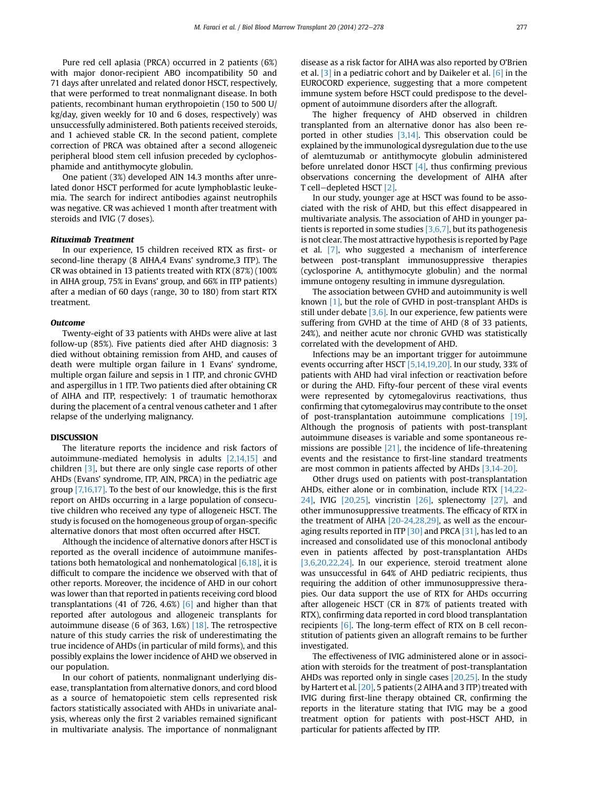Pure red cell aplasia (PRCA) occurred in 2 patients (6%) with major donor-recipient ABO incompatibility 50 and 71 days after unrelated and related donor HSCT, respectively, that were performed to treat nonmalignant disease. In both patients, recombinant human erythropoietin (150 to 500 U/ kg/day, given weekly for 10 and 6 doses, respectively) was unsuccessfully administered. Both patients received steroids, and 1 achieved stable CR. In the second patient, complete correction of PRCA was obtained after a second allogeneic peripheral blood stem cell infusion preceded by cyclophosphamide and antithymocyte globulin.

One patient (3%) developed AIN 14.3 months after unrelated donor HSCT performed for acute lymphoblastic leukemia. The search for indirect antibodies against neutrophils was negative. CR was achieved 1 month after treatment with steroids and IVIG (7 doses).

## Rituximab Treatment

In our experience, 15 children received RTX as first- or second-line therapy (8 AIHA,4 Evans' syndrome,3 ITP). The CR was obtained in 13 patients treated with RTX (87%) (100% in AIHA group, 75% in Evans' group, and 66% in ITP patients) after a median of 60 days (range, 30 to 180) from start RTX treatment.

### **Outcome**

Twenty-eight of 33 patients with AHDs were alive at last follow-up (85%). Five patients died after AHD diagnosis: 3 died without obtaining remission from AHD, and causes of death were multiple organ failure in 1 Evans' syndrome, multiple organ failure and sepsis in 1 ITP, and chronic GVHD and aspergillus in 1 ITP. Two patients died after obtaining CR of AIHA and ITP, respectively: 1 of traumatic hemothorax during the placement of a central venous catheter and 1 after relapse of the underlying malignancy.

The literature reports the incidence and risk factors of autoimmune-mediated hemolysis in adults [\[2,14,15\]](#page-6-0) and children [\[3\],](#page-6-0) but there are only single case reports of other AHDs (Evans' syndrome, ITP, AIN, PRCA) in the pediatric age group [\[7,16,17\].](#page-6-0) To the best of our knowledge, this is the first report on AHDs occurring in a large population of consecutive children who received any type of allogeneic HSCT. The study is focused on the homogeneous group of organ-specific alternative donors that most often occurred after HSCT.

Although the incidence of alternative donors after HSCT is reported as the overall incidence of autoimmune manifestations both hematological and nonhematological [\[6,18\]](#page-6-0), it is difficult to compare the incidence we observed with that of other reports. Moreover, the incidence of AHD in our cohort was lower than that reported in patients receiving cord blood transplantations (41 of 726, 4.6%)  $[6]$  and higher than that reported after autologous and allogeneic transplants for autoimmune disease (6 of 363, 1.6%)  $[18]$ . The retrospective nature of this study carries the risk of underestimating the true incidence of AHDs (in particular of mild forms), and this possibly explains the lower incidence of AHD we observed in our population.

In our cohort of patients, nonmalignant underlying disease, transplantation from alternative donors, and cord blood as a source of hematopoietic stem cells represented risk factors statistically associated with AHDs in univariate analysis, whereas only the first 2 variables remained significant in multivariate analysis. The importance of nonmalignant disease as a risk factor for AIHA was also reported by O'Brien et al. [\[3\]](#page-6-0) in a pediatric cohort and by Daikeler et al. [\[6\]](#page-6-0) in the EUROCORD experience, suggesting that a more competent immune system before HSCT could predispose to the development of autoimmune disorders after the allograft.

The higher frequency of AHD observed in children transplanted from an alternative donor has also been reported in other studies [\[3,14\].](#page-6-0) This observation could be explained by the immunological dysregulation due to the use of alemtuzumab or antithymocyte globulin administered before unrelated donor HSCT  $[4]$ , thus confirming previous observations concerning the development of AIHA after T cell-depleted HSCT  $[2]$ .

In our study, younger age at HSCT was found to be associated with the risk of AHD, but this effect disappeared in multivariate analysis. The association of AHD in younger patients is reported in some studies [\[3,6,7\],](#page-6-0) but its pathogenesis is not clear. The most attractive hypothesis is reported by Page et al. [\[7\]](#page-6-0), who suggested a mechanism of interference between post-transplant immunosuppressive therapies (cyclosporine A, antithymocyte globulin) and the normal immune ontogeny resulting in immune dysregulation.

The association between GVHD and autoimmunity is well known [\[1\]](#page-6-0), but the role of GVHD in post-transplant AHDs is still under debate  $[3,6]$ . In our experience, few patients were suffering from GVHD at the time of AHD (8 of 33 patients, 24%), and neither acute nor chronic GVHD was statistically correlated with the development of AHD.

Infections may be an important trigger for autoimmune events occurring after HSCT [\[5,14,19,20\]](#page-6-0). In our study, 33% of patients with AHD had viral infection or reactivation before or during the AHD. Fifty-four percent of these viral events were represented by cytomegalovirus reactivations, thus confirming that cytomegalovirus may contribute to the onset of post-transplantation autoimmune complications [\[19\]](#page-6-0). Although the prognosis of patients with post-transplant autoimmune diseases is variable and some spontaneous re-missions are possible [\[21\],](#page-6-0) the incidence of life-threatening events and the resistance to first-line standard treatments are most common in patients affected by AHDs [\[3,14-20\]](#page-6-0).

Other drugs used on patients with post-transplantation AHDs, either alone or in combination, include RTX [\[14,22-](#page-6-0) [24\]](#page-6-0), IVIG [\[20,25\]](#page-6-0), vincristin [\[26\],](#page-6-0) splenectomy [\[27\],](#page-6-0) and other immunosuppressive treatments. The efficacy of RTX in the treatment of AIHA [\[20-24,28,29\]](#page-6-0), as well as the encour-aging results reported in ITP [\[30\]](#page-6-0) and PRCA [\[31\]](#page-6-0), has led to an increased and consolidated use of this monoclonal antibody even in patients affected by post-transplantation AHDs [\[3,6,20,22,24\]](#page-6-0). In our experience, steroid treatment alone was unsuccessful in 64% of AHD pediatric recipients, thus requiring the addition of other immunosuppressive therapies. Our data support the use of RTX for AHDs occurring after allogeneic HSCT (CR in 87% of patients treated with RTX), confirming data reported in cord blood transplantation recipients [\[6\].](#page-6-0) The long-term effect of RTX on B cell reconstitution of patients given an allograft remains to be further investigated.

The effectiveness of IVIG administered alone or in association with steroids for the treatment of post-transplantation AHDs was reported only in single cases [\[20,25\]](#page-6-0). In the study by Hartert et al. [\[20\],](#page-6-0) 5 patients (2 AIHA and 3 ITP) treated with IVIG during first-line therapy obtained CR, confirming the reports in the literature stating that IVIG may be a good treatment option for patients with post-HSCT AHD, in particular for patients affected by ITP.